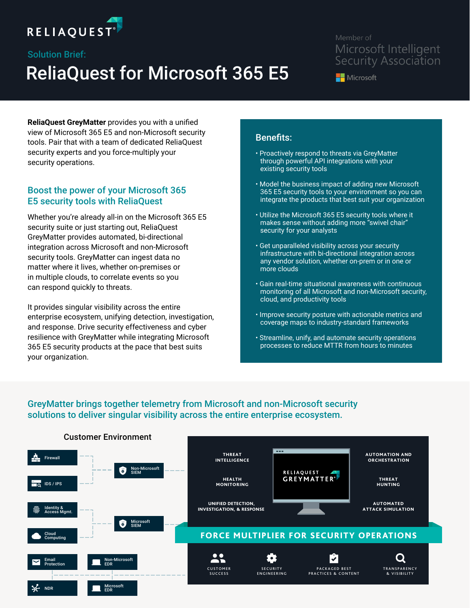

# ReliaQuest for Microsoft 365 E5 Solution Brief:

## Member of Microsoft Intelligent **Security Association**

**Nicrosoft** 

**ReliaQuest GreyMatter** provides you with a unified view of Microsoft 365 E5 and non-Microsoft security tools. Pair that with a team of dedicated ReliaQuest security experts and you force-multiply your security operations.

## Boost the power of your Microsoft 365 E5 security tools with ReliaQuest

Whether you're already all-in on the Microsoft 365 E5 security suite or just starting out, ReliaQuest GreyMatter provides automated, bi-directional integration across Microsoft and non-Microsoft security tools. GreyMatter can ingest data no matter where it lives, whether on-premises or in multiple clouds, to correlate events so you can respond quickly to threats.

It provides singular visibility across the entire enterprise ecosystem, unifying detection, investigation, and response. Drive security effectiveness and cyber resilience with GreyMatter while integrating Microsoft 365 E5 security products at the pace that best suits your organization.

# Benefits:

- Proactively respond to threats via GreyMatter through powerful API integrations with your existing security tools
- Model the business impact of adding new Microsoft 365 E5 security tools to your environment so you can integrate the products that best suit your organization
- Utilize the Microsoft 365 E5 security tools where it makes sense without adding more "swivel chair" security for your analysts
- Get unparalleled visibility across your security infrastructure with bi-directional integration across any vendor solution, whether on-prem or in one or more clouds
- Gain real-time situational awareness with continuous monitoring of all Microsoft and non-Microsoft security, cloud, and productivity tools
- Improve security posture with actionable metrics and coverage maps to industry-standard frameworks
- Streamline, unify, and automate security operations processes to reduce MTTR from hours to minutes

### GreyMatter brings together telemetry from Microsoft and non-Microsoft security solutions to deliver singular visibility across the entire enterprise ecosystem.